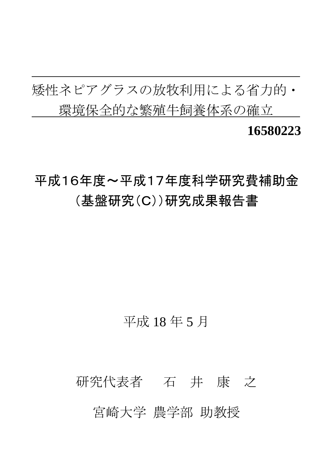矮性ネピアグラスの放牧利用による省力的・ 環境保全的な繁殖牛飼養体系の確立 **16580223** 

# 平成16年度~平成17年度科学研究費補助金 (基盤研究(C))研究成果報告書

## 平成 18 年 5 月

# 研究代表者 石 井 康 之 宮崎大学 農学部 助教授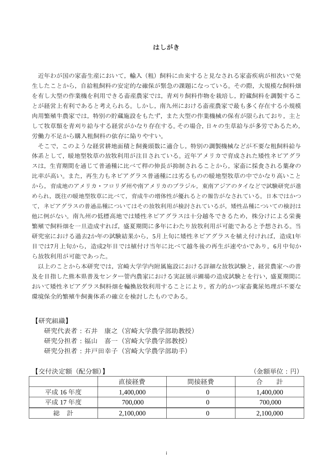#### はしがき

近年わが国の家畜生産において,輸入(粗)飼料に由来すると見なされる家畜疾病が相次いで発 生したことから,自給粗飼料の安定的な確保が緊急の課題になっている。その際,大規模な飼料畑 を有し大型の作業機を利用できる畜産農家では,青刈り飼料作物を栽培し,貯蔵飼料を調製するこ とが経営上有利であると考えられる。しかし,南九州における畜産農家で最も多く存在する小規模 肉用繁殖牛農家では,特別の貯蔵施設をもたず,また大型の作業機械の保有が限られており,主と して牧草類を青刈り給与する経営がかなり存在する。その場合,日々の生草給与が多労であるため, 労働力不足から購入粗飼料の依存に陥りやすい。

そこで,このような経営耕地面積と飼養頭数に適合し,特別の調製機械などが不要な粗飼料給与 体系として,暖地型牧草の放牧利用が注目されている。近年アメリカで育成された矮性ネピアグラ スは,生育期間を通じて普通種に比べて稈の伸長が抑制されることから,家畜に採食される葉身の 比率が高い。また,再生力もネピアグラス普通種には劣るものの暖地型牧草の中でかなり高いこと から,育成地のアメリカ・フロリダ州や南アメリカのブラジル,東南アジアのタイなどで試験研究が進 められ,既往の暖地型牧草に比べて,育成牛の増体性が優れるとの報告がなされている。日本ではかつ て,ネピアグラスの普通品種についてはその放牧利用が検討されているが,矮性品種についての検討は 他に例がない。南九州の低標高地では矮性ネピアグラスは十分越冬できるため,株分けによる栄養 繁殖で飼料畑を一旦造成すれば,盛夏期間に多年にわたり放牧利用が可能であると予想される。当 研究室における過去2か年の試験結果から、5月上旬に矮性ネピアグラスを植え付ければ、造成1年 目では7月上旬から,造成2年目では植付け当年に比べて越冬後の再生が速やかであり,6月中旬か ら放牧利用が可能であった。

以上のことから本研究では,宮崎大学学内附属施設における詳細な放牧試験と,経営農家への普 及を目指した熊本県普及センター管内農家における実証展示圃場の造成試験とを行い,盛夏期間に おいて矮性ネピアグラス飼料畑を輪換放牧利用することにより,省力的かつ家畜糞尿処理が不要な 環境保全的繁殖牛飼養体系の確立を検討したものである。

【研究組織】

研究代表者:石井 康之(宮崎大学農学部助教授) 研究分担者:福山 喜一(宮崎大学農学部教授) 研究分担者:井戸田幸子(宮崎大学農学部助手)

【交付決定額(配分額)】 (金額単位:円)

|         | 直接経費      | 間接経費 | 計<br>合    |
|---------|-----------|------|-----------|
| 平成 16年度 | 1,400,000 |      | 1,400,000 |
| 平成 17年度 | 700,000   |      | 700,000   |
| 計<br>総  | 2,100,000 |      | 2,100,000 |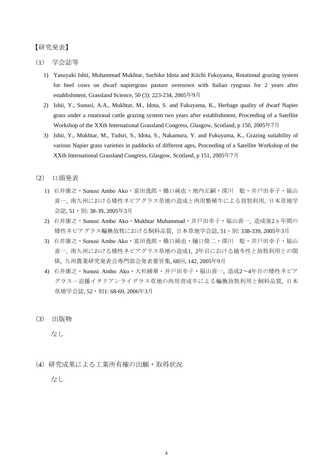#### 【研究発表】

(1) 学会誌等

- 1) Yasuyuki Ishii, Muhammad Mukhtar, Sachiko Idota and Kiichi Fukuyama, Rotational grazing system for beef cows on dwarf napiergrass pasture oversown with Italian ryegrass for 2 years after establishment, Grassland Science, 50 (3): 223-234, 2005年9月
- 2) Ishii, Y., Sunusi, A.A., Mukhtar, M., Idota, S. and Fukuyama, K., Herbage quality of dwarf Napier grass under a rotational cattle grazing system two years after establishment, Proceeding of a Satellite Workshop of the XXth International Grassland Congress, Glasgow, Scotland, p 150, 2005年7月
- 3) Ishii, Y., Mukhtar, M., Tudsri, S., Idota, S., Nakamura, Y. and Fukuyama, K., Grazing suitability of various Napier grass varieties in paddocks of different ages, Proceeding of a Satellite Workshop of the XXth International Grassland Congress, Glasgow, Scotland, p 151, 2005年7月
- (2) 口頭発表
	- 1) 石井康之・Sunusi Ambo Ako・富田逸郎・橋口純也・地内正嗣・深川 聡・井戸田幸子・福山 喜一, 南九州における矮性ネピアグラス草地の造成と肉用繁殖牛による放牧利用, 日本草地学 会誌, 51・別: 38-39, 2005年3月
	- 2) 石井康之・Sunusi Ambo Ako・Mukhtar Muhammad・井戸田幸子・福山喜一, 造成後2ヵ年間の 矮性ネピアグラス輪換放牧における飼料品質, 日本草地学会誌, 51・別: 338-339, 2005年3月
	- 3) 石井康之・Sunusi Ambo Ako・富田逸郎・橋口純也・樋口俊二・深川 聡・井戸田幸子・福山 喜一, 南九州における矮性ネピアグラス草地の造成1, 2年目における越冬性と放牧利用との関 係, 九州農業研究発表会専門部会発表要旨集, 68回, 142, 2005年9月
	- 4) 石井康之・Sunusi Ambo Ako・大杉綾華・井戸田幸子・福山喜一, 造成2~4年目の矮性ネピア グラスー追播イタリアンライグラス草地の肉用育成牛による輪換放牧利用と飼料品質、日本 草地学会誌, 52・別1: 68-69, 2006年3月
- (3) 出版物

なし

(4)研究成果による工業所有権の出願・取得状況

なし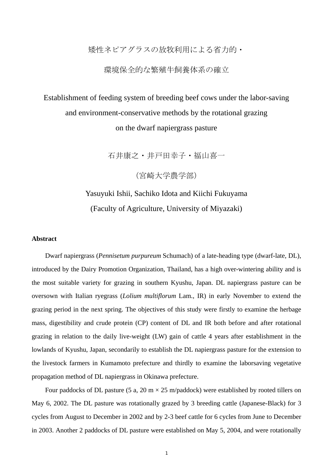#### 矮性ネピアグラスの放牧利用による省力的・

#### 環境保全的な繁殖牛飼養体系の確立

## Establishment of feeding system of breeding beef cows under the labor-saving and environment-conservative methods by the rotational grazing on the dwarf napiergrass pasture

石井康之・井戸田幸子・福山喜一

(宮崎大学農学部)

### Yasuyuki Ishii, Sachiko Idota and Kiichi Fukuyama (Faculty of Agriculture, University of Miyazaki)

#### **Abstract**

Dwarf napiergrass (*Pennisetum purpureum* Schumach) of a late-heading type (dwarf-late, DL), introduced by the Dairy Promotion Organization, Thailand, has a high over-wintering ability and is the most suitable variety for grazing in southern Kyushu, Japan. DL napiergrass pasture can be oversown with Italian ryegrass (*Lolium multiflorum* Lam., IR) in early November to extend the grazing period in the next spring. The objectives of this study were firstly to examine the herbage mass, digestibility and crude protein (CP) content of DL and IR both before and after rotational grazing in relation to the daily live-weight (LW) gain of cattle 4 years after establishment in the lowlands of Kyushu, Japan, secondarily to establish the DL napiergrass pasture for the extension to the livestock farmers in Kumamoto prefecture and thirdly to examine the laborsaving vegetative propagation method of DL napiergrass in Okinawa prefecture.

Four paddocks of DL pasture (5 a, 20 m  $\times$  25 m/paddock) were established by rooted tillers on May 6, 2002. The DL pasture was rotationally grazed by 3 breeding cattle (Japanese-Black) for 3 cycles from August to December in 2002 and by 2-3 beef cattle for 6 cycles from June to December in 2003. Another 2 paddocks of DL pasture were established on May 5, 2004, and were rotationally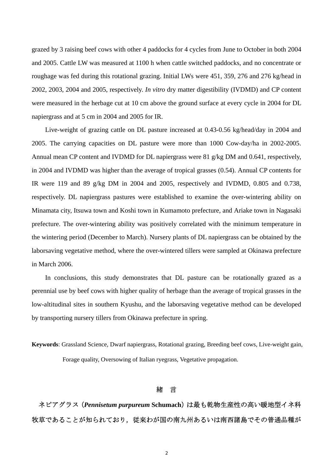grazed by 3 raising beef cows with other 4 paddocks for 4 cycles from June to October in both 2004 and 2005. Cattle LW was measured at 1100 h when cattle switched paddocks, and no concentrate or roughage was fed during this rotational grazing. Initial LWs were 451, 359, 276 and 276 kg/head in 2002, 2003, 2004 and 2005, respectively. *In vitro* dry matter digestibility (IVDMD) and CP content were measured in the herbage cut at 10 cm above the ground surface at every cycle in 2004 for DL napiergrass and at 5 cm in 2004 and 2005 for IR.

Live-weight of grazing cattle on DL pasture increased at 0.43-0.56 kg/head/day in 2004 and 2005. The carrying capacities on DL pasture were more than 1000 Cow-day/ha in 2002-2005. Annual mean CP content and IVDMD for DL napiergrass were 81  $g/kg$  DM and 0.641, respectively, in 2004 and IVDMD was higher than the average of tropical grasses (0.54). Annual CP contents for IR were 119 and 89 g/kg DM in 2004 and 2005, respectively and IVDMD, 0.805 and 0.738, respectively. DL napiergrass pastures were established to examine the over-wintering ability on Minamata city, Itsuwa town and Koshi town in Kumamoto prefecture, and Ariake town in Nagasaki prefecture. The over-wintering ability was positively correlated with the minimum temperature in the wintering period (December to March). Nursery plants of DL napiergrass can be obtained by the laborsaving vegetative method, where the over-wintered tillers were sampled at Okinawa prefecture in March 2006.

In conclusions, this study demonstrates that DL pasture can be rotationally grazed as a perennial use by beef cows with higher quality of herbage than the average of tropical grasses in the low-altitudinal sites in southern Kyushu, and the laborsaving vegetative method can be developed by transporting nursery tillers from Okinawa prefecture in spring.

**Keywords**: Grassland Science, Dwarf napiergrass, Rotational grazing, Breeding beef cows, Live-weight gain, Forage quality, Oversowing of Italian ryegrass, Vegetative propagation.

#### 緒 言

ネピアグラス (Pennisetum purpureum Schumach)は最も乾物生産性の高い暖地型イネ科 牧草であることが知られており,従来わが国の南九州あるいは南西諸島でその普通品種が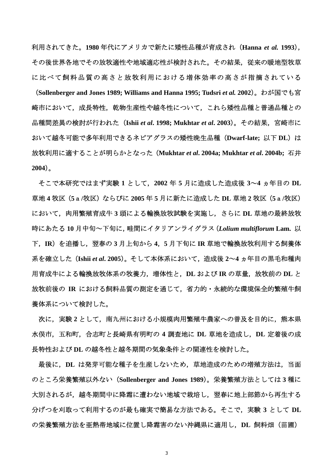利用されてきた。**1980** 年代にアメリカで新たに矮性品種が育成され(**Hanna** *et al.* **1993**), その後世界各地でその放牧適性や地域適応性が検討された。その結果,従来の暖地型牧草 に比べて飼料品質の高さと放牧利用における増体効率の高さが指摘されている (**Sollenberger and Jones 1989; Williams and Hanna 1995; Tudsri** *et al.* **2002**)。わが国でも宮 崎市において,成長特性,乾物生産性や越冬性について,これら矮性品種と普通品種との 品種間差異の検討が行われた(**Ishii** *et al***. 1998; Mukhtar** *et al***. 2003**)。その結果,宮崎市に おいて越冬可能で多年利用できるネピアグラスの矮性晩生品種 (Dwarf-late; 以下 DL) は 放牧利用に適することが明らかとなった(**Mukhtar** *et al***. 2004a; Mukhtar** *et al***. 2004b;** 石井 **2004**)。

そこで本研究ではまず実験 **1** として,**2002** 年 **5** 月に造成した造成後 **3**~**4** ヵ年目の **DL** 草地 **4** 牧区(**5**a**/**牧区)ならびに **2005** 年 **5** 月に新たに造成した **DL** 草地 **2** 牧区(**5**a**/**牧区) において,肉用繁殖育成牛 **3** 頭による輪換放牧試験を実施し,さらに **DL** 草地の最終放牧 時にあたる **10** 月中旬~下旬に,畦間にイタリアンライグラス(*Lolium multiflorum* **Lam.** 以 下,**IR**)を追播し,翌春の **3** 月上旬から **4**,**5** 月下旬に **IR** 草地で輪換放牧利用する飼養体 系を確立した(**Ishii** *et al***. 2005**)。そして本体系において,造成後 **2**~**4** ヵ年目の黒毛和種肉 用育成牛による輪換放牧体系の牧養力,増体性と,**DL** および **IR** の草量,放牧前の **DL** と 放牧前後の **IR** における飼料品質の測定を通じて,省力的・永続的な環境保全的繁殖牛飼 養体系について検討した。

次に,実験 **2** として,南九州における小規模肉用繁殖牛農家への普及を目的に,熊本県 水俣市,五和町,合志町と長崎県有明町の **4** 調査地に **DL** 草地を造成し,**DL** 定着後の成 長特性および **DL** の越冬性と越冬期間の気象条件との関連性を検討した。

最後に,**DL** は発芽可能な種子を生産しないため,草地造成のための増殖方法は,当面 のところ栄養繁殖以外ない(**Sollenberger and Jones 1989**)。栄養繁殖方法としては **3** 種に 大別されるが,越冬期間中に降霜に遭わない地域で栽培し,翌春に地上部節から再生する 分げつを刈取って利用するのが最も確実で簡易な方法である。そこで,実験 **3** として **DL** の栄養繁殖方法を亜熱帯地域に位置し降霜害のない沖縄県に適用し,**DL** 飼料畑(苗圃)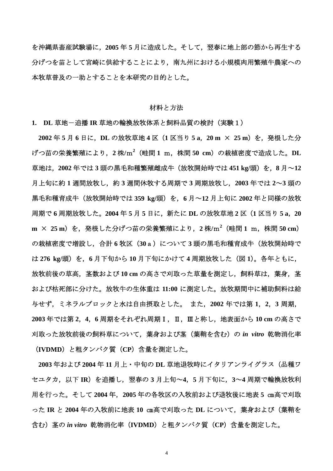を沖縄県畜産試験場に,**2005** 年 **5** 月に造成した。そして,翌春に地上部の節から再生する 分げつを苗として宮崎に供給することにより,南九州における小規模肉用繁殖牛農家への 本牧草普及の一助とすることを本研究の目的とした。

#### 材料と方法

**1. DL** 草地-追播 **IR** 草地の輪換放牧体系と飼料品質の検討(実験1)

**2002** 年 **5** 月 **6** 日に,**DL** の放牧草地 **4** 区(**1** 区当り **5 a**,**20 m** × **25 m**)を,発根した分 げつ苗の栄養繁殖により,**2** 株**/**m**<sup>2</sup>** (畦間 **1** m,株間 **50 cm**)の栽植密度で造成した。**DL** 草地は,**2002** 年では **3** 頭の黒毛和種繁殖雌成牛(放牧開始時では **451 kg/**頭)を,**8** 月~**12** 月上旬に約 **1** 週間放牧し,約 **3** 週間休牧する周期で **3** 周期放牧し,**2003** 年では **2**~**3** 頭の 黒毛和種育成牛(放牧開始時では **359 kg/**頭)を,**6** 月~**12** 月上旬に **2002** 年と同様の放牧 周期で **6** 周期放牧した。**2004** 年 **5** 月 **5** 日に,新たに **DL** の放牧草地 **2** 区(**1** 区当り **5 a**,**20 m** × **25 m**)を,発根した分げつ苗の栄養繁殖により,**2** 株**/**m**<sup>2</sup>** (畦間 **1** m,株間 **50 cm**) の栽植密度で増設し,合計 **6** 牧区(**30**a)について **3** 頭の黒毛和種育成牛(放牧開始時で は **276 kg/**頭)を,**6** 月下旬から **10** 月下旬にかけて **4** 周期放牧した(図 **1**)。各年ともに, 放牧前後の草高,茎数および **10 cm** の高さで刈取った草量を測定し,飼料草は,葉身,茎 および枯死部に分けた。放牧牛の生体重は **11:00** に測定した。放牧期間中に補助飼料は給 与せず,ミネラルブロックと水は自由摂取とした。 また,**2002** 年では第 **1**,**2**,**3** 周期, **2003** 年では第 **2**,**4**,**6** 周期をそれぞれ周期Ⅰ,Ⅱ,Ⅲと称し,地表面から **10 cm** の高さで 刈取った放牧前後の飼料草について,葉身および茎(葉鞘を含む)の *in vitro* 乾物消化率 (**IVDMD**)と粗タンパク質(**CP**)含量を測定した。

**2003** 年および **2004** 年 **11** 月上・中旬の **DL** 草地退牧時にイタリアンライグラス(品種ワ セユタカ,以下 **IR**)を追播し,翌春の **3** 月上旬~**4**,**5** 月下旬に,**3**~**4** 周期で輪換放牧利 用を行った。そして **2004** 年,**2005** 年の各牧区の入牧前および退牧後に地表 **5** ㎝高で刈取 った **IR** と **2004** 年の入牧前に地表 **10** ㎝高で刈取った **DL** について,葉身および(葉鞘を 含む)茎の *in vitro* 乾物消化率(**IVDMD**)と粗タンパク質(**CP**)含量を測定した。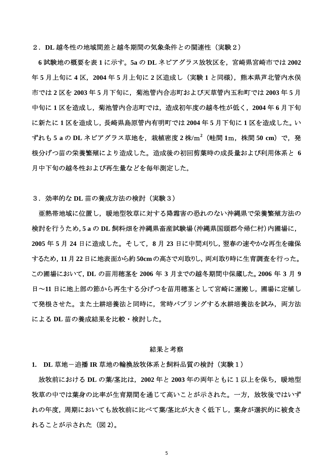2.**DL** 越冬性の地域間差と越冬期間の気象条件との関連性(実験2)

 **6** 試験地の概要を表 **1** に示す。**5a** の **DL** ネピアグラス放牧区を,宮崎県宮崎市では **2002** 年 **5** 月上旬に **4** 区,**2004** 年 **5** 月上旬に **2** 区造成し(実験 **1** と同様),熊本県芦北管内水俣 市では **2** 区を **2003** 年 **5** 月下旬に,菊池管内合志町および天草管内五和町では **2003** 年 **5** 月 中旬に **1** 区を造成し,菊池管内合志町では,造成初年度の越冬性が低く,**2004** 年 **6** 月下旬 に新たに **1** 区を造成し,長崎県島原管内有明町では **2004** 年 **5** 月下旬に **1** 区を造成した。い ずれも **5 a** の **DL** ネピアグラス草地を,栽植密度 **2** 株**/**m**<sup>2</sup>** (畦間 **1**m,株間 **50 cm**)で,発 根分げつ苗の栄養繁殖により造成した。造成後の初回剪葉時の成長量および利用体系と **6** 月中下旬の越冬性および再生量などを毎年測定した。

3.効率的な **DL** 苗の養成方法の検討(実験3)

亜熱帯地域に位置し,暖地型牧草に対する降霜害の恐れのない沖縄県で栄養繁殖方法の 検討を行うため,**5 a** の **DL** 飼料畑を沖縄県畜産試験場(沖縄県国頭郡今帰仁村)内圃場に, **2005** 年 **5** 月 **24** 日に造成した。そして,**8** 月 **23** 日に中間刈りし,翌春の速やかな再生を確保 するため,**11**月 **22**日に地表面から約 **50cm** の高さで刈取りし,両刈取り時に生育調査を行った。 この圃場において,**DL** の苗用穂茎を **2006** 年 **3** 月までの越冬期間中保蔵した。**2006** 年 **3** 月 **9** 日~**11** 日に地上部の節から再生する分げつを苗用穂茎として宮崎に運搬し,圃場に定植し て発根させた。また土耕培養法と同時に、常時バブリングする水耕培養法を試み、両方法 による **DL** 苗の養成結果を比較・検討した。

#### 結果と考察

**1. DL** 草地-追播 **IR** 草地の輪換放牧体系と飼料品質の検討(実験1)

放牧前における **DL** の葉**/**茎比は,**2002** 年と **2003** 年の両年ともに1以上を保ち,暖地型 牧草の中では葉身の比率が生育期間を通じて高いことが示された。一方,放牧後ではいず れの年度,周期においても放牧前に比べて葉**/**茎比が大きく低下し,葉身が選択的に被食さ れることが示された(図 **2**)。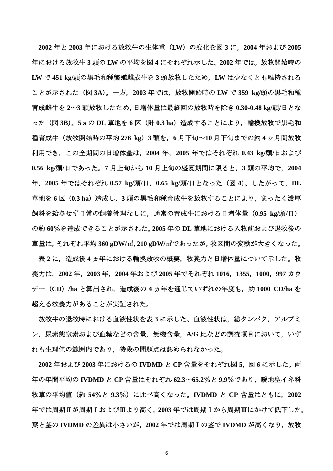**2002** 年と **2003** 年における放牧牛の生体重(**LW**)の変化を図 **3** に,**2004** 年および **2005** 年における放牧牛 **3** 頭の **LW** の平均を図 **4** にそれぞれ示した。**2002** 年では,放牧開始時の **LW** で **451 kg/**頭の黒毛和種繁殖雌成牛を **3** 頭放牧したため,**LW** は少なくとも維持される ことが示された(図 **3A**)。一方,**2003** 年では,放牧開始時の **LW** で **359 kg/**頭の黒毛和種 育成雌牛を **2**~**3** 頭放牧したため,日増体量は最終回の放牧時を除き **0.30-0.48 kg/**頭**/**日とな った(図 **3B**)。**5**aの **DL** 草地を **6** 区(計 **0.3 ha**)造成することにより,輪換放牧で黒毛和 種育成牛(放牧開始時の平均 **276 kg**)**3** 頭を,**6** 月下旬~**10** 月下旬までの約 **4** ヶ月間放牧 利用でき,この全期間の日増体量は,**2004** 年,**2005** 年ではそれぞれ **0.43 kg/**頭**/**日および **0.56 kg/**頭**/**日であった。**7** 月上旬から **10** 月上旬の盛夏期間に限ると,**3** 頭の平均で,**2004** 年,**2005** 年ではそれぞれ **0.57 kg/**頭**/**日,**0.65 kg/**頭**/**日となった(図 **4**)。したがって,**DL** 草地を **6** 区(**0.3 ha**)造成し,**3** 頭の黒毛和種育成牛を放牧することにより,まったく濃厚 飼料を給与せず日常の飼養管理なしに,通常の育成牛における日増体量(**0.95 kg/**頭**/**日) の約 **60**%を達成できることが示された。**2005** 年の **DL** 草地における入牧前および退牧後の 草量は,それぞれ平均 **360 gDW/**㎡**, 210 gDW/**㎡であったが,牧区間の変動が大きくなった。

表 **2** に,造成後 **4** ヵ年における輪換放牧の概要,牧養力と日増体量について示した。牧 養力は,**2002** 年,**2003** 年,**2004** 年および **2005** 年でそれぞれ **1016**,**1355**,**1000**,**997** カウ デー(**CD**)**/ha** と算出され,造成後の **4** ヵ年を通じていずれの年度も,約 **1000 CD/ha** を 超える牧養力があることが実証された。

放牧牛の退牧時における血液性状を表 **3** に示した。血液性状は,総タンパク,アルブミ ン,尿素態窒素および血糖などの含量,無機含量,**A/G** 比などの調査項目において,いず れも生理値の範囲内であり,特段の問題点は認められなかった。

**2002** 年および **2003** 年におけるの **IVDMD** と **CP** 含量をそれぞれ図 **5**,図 **6** に示した。両 年の年間平均の **IVDMD** と **CP** 含量はそれぞれ **62.3**~**65.2**%と **9.9**%であり,暖地型イネ科 牧草の平均値(約 **54**%と **9.3**%)に比べ高くなった。**IVDMD** と **CP** 含量はともに,**2002** 年では周期Ⅱが周期ⅠおよびⅢより高く,**2003** 年では周期Ⅰから周期Ⅲにかけて低下した。 葉と茎の **IVDMD** の差異は小さいが,**2002** 年では周期Ⅰの茎で **IVDMD** が高くなり,放牧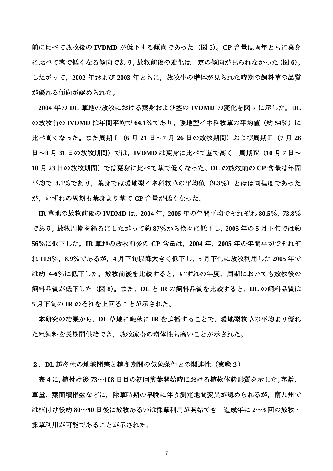前に比べて放牧後の **IVDMD** が低下する傾向であった(図 **5**)。**CP** 含量は両年ともに葉身 に比べて茎で低くなる傾向であり,放牧前後の変化は一定の傾向が見られなかった(図 **6**)。 したがって,**2002** 年および **2003** 年ともに,放牧牛の増体が見られた時期の飼料草の品質 が優れる傾向が認められた。

**2004** 年の **DL** 草地の放牧における葉身および茎の **IVDMD** の変化を図 **7** に示した。**DL** の放牧前の **IVDMD** は年間平均で **64.1**%であり,暖地型イネ科牧草の平均値(約 **54**%)に 比べ高くなった。また周期Ⅰ(**6** 月 **21** 日~**7** 月 **26** 日の放牧期間)および周期Ⅱ(**7** 月 **26** 日~**8** 月 **31** 日の放牧期間)では,**IVDMD** は葉身に比べて茎で高く,周期Ⅳ(**10** 月 **7** 日~ **10** 月 **23** 日の放牧期間)では葉身に比べて茎で低くなった。**DL** の放牧前の **CP** 含量は年間 平均で **8.1**%であり,葉身では暖地型イネ科牧草の平均値(**9.3**%)とほほ同程度であった が,いずれの周期も葉身より茎で **CP** 含量が低くなった。

**IR** 草地の放牧前後の **IVDMD** は,**2004** 年,**2005** 年の年間平均でそれぞれ **80.5**%,**73.8**% であり,放牧周期を経るにしたがって約 **87**%から徐々に低下し,**2005** 年の **5** 月下旬では約 **56**%に低下した。**IR** 草地の放牧前後の **CP** 含量は,**2004** 年,**2005** 年の年間平均でそれぞ れ **11.9**%,**8.9**%であるが,**4** 月下旬以降大きく低下し,**5** 月下旬に放牧利用した **2005** 年で は約 **4-6**%に低下した。放牧前後を比較すると,いずれの年度,周期においても放牧後の 飼料品質が低下した(図 **8**)。また,**DL** と **IR** の飼料品質を比較すると,**DL** の飼料品質は **5** 月下旬の **IR** のそれを上回ることが示された。

本研究の結果から,**DL** 草地に晩秋に **IR** を追播することで,暖地型牧草の平均より優れ た粗飼料を長期間供給でき,放牧家畜の増体性も高いことが示された。

#### 2.**DL** 越冬性の地域間差と越冬期間の気象条件との関連性(実験2)

 表 **4** に,植付け後 **73**~**108** 日目の初回剪葉開始時における植物体諸形質を示した。茎数, 草量,葉面積指数などに,除草時期の早晩に伴う測定地間変異が認められるが,南九州で は植付け後約 **80**~**90** 日後に放牧あるいは採草利用が開始でき,造成年に **2**~**3** 回の放牧・ 採草利用が可能であることが示された。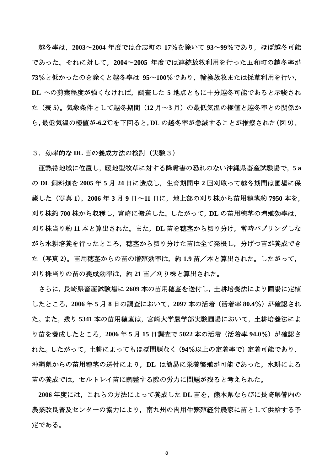越冬率は,**2003**~**2004** 年度では合志町の **17**%を除いて **93**~**99**%であり,ほぼ越冬可能 であった。それに対して,**2004**~**2005** 年度では連続放牧利用を行った五和町の越冬率が **73**%と低かったのを除くと越冬率は **95**~**100**%であり,輪換放牧または採草利用を行い, **DL** への剪葉程度が強くなければ,調査した **5** 地点ともに十分越冬可能であると示唆され た(表 **5**)。気象条件として越冬期間(**12** 月~**3** 月)の最低気温の極値と越冬率との関係か ら,最低気温の極値が**-6.2**℃を下回ると,**DL** の越冬率が急減することが推察された(図 **9**)。

#### 3.効率的な **DL** 苗の養成方法の検討(実験3)

亜熱帯地域に位置し,暖地型牧草に対する降霜害の恐れのない沖縄県畜産試験場で,**5 a** の **DL** 飼料畑を **2005** 年 **5** 月 **24** 日に造成し,生育期間中 **2** 回刈取って越冬期間は圃場に保 蔵した(写真 **1**)。**2006** 年 **3** 月 **9** 日~**11** 日に,地上部の刈り株から苗用穂茎約 **7950** 本を, 刈り株約 **700** 株から収穫し,宮崎に搬送した。したがって,**DL** の苗用穂茎の増殖効率は, 刈り株当り約 **11** 本と算出された。また,**DL** 苗を穂茎から切り分け,常時バブリングしな がら水耕培養を行ったところ、穂茎から切り分けた苗は全て発根し、分げつ苗が養成でき た(写真 **2**)。苗用穂茎からの苗の増殖効率は,約 **1.9** 苗/本と算出された。したがって, 刈り株当りの苗の養成効率は,約 **21** 苗/刈り株と算出された。

さらに,長崎県畜産試験場に **2609** 本の苗用穂茎を送付し,土耕培養法により圃場に定植 したところ,**2006** 年 **5** 月 **8** 日の調査において,**2097** 本の活着(活着率 **80.4**%)が確認され た。また,残り **5341** 本の苗用穂茎は,宮崎大学農学部実験圃場において,土耕培養法によ り苗を養成したところ,**2006** 年 **5** 月 **15** 日調査で **5022** 本の活着(活着率 **94.0**%)が確認さ れた。したがって,土耕によってもほぼ問題なく(**94**%以上の定着率で)定着可能であり, 沖縄県からの苗用穂茎の送付により,**DL** は簡易に栄養繁殖が可能であった。水耕による 苗の養成では,セルトレイ苗に調整する際の労力に問題が残ると考えられた。

**2006** 年度には,これらの方法によって養成した **DL** 苗を,熊本県ならびに長崎県管内の 農業改良普及センターの協力により,南九州の肉用牛繁殖経営農家に苗として供給する予 定である。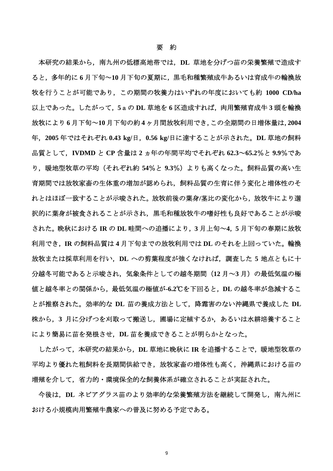本研究の結果から,南九州の低標高地帯では,**DL** 草地を分げつ苗の栄養繁殖で造成す ると,多年的に **6** 月下旬~**10** 月下旬の夏期に,黒毛和種繁殖成牛あるいは育成牛の輪換放 牧を行うことが可能であり,この期間の牧養力はいずれの年度においても約 **1000 CD/ha** 以上であった。したがって,**5**aの **DL** 草地を **6** 区造成すれば,肉用繁殖育成牛 **3** 頭を輪換 放牧により **6** 月下旬~**10** 月下旬の約 **4** ヶ月間放牧利用でき,この全期間の日増体量は,**2004** 年,**2005** 年ではそれぞれ **0.43 kg/**日,**0.56 kg/**日に達することが示された。**DL** 草地の飼料 品質として,**IVDMD** と **CP** 含量は **2** ヵ年の年間平均でそれぞれ **62.3**~**65.2**%と **9.9**%であ り,暖地型牧草の平均(それぞれ約 **54**%と **9.3**%)よりも高くなった。飼料品質の高い生 育期間では放牧家畜の生体重の増加が認められ,飼料品質の生育に伴う変化と増体性のそ れとはほぼ一致することが示唆された。放牧前後の葉身**/**茎比の変化から,放牧牛により選 択的に葉身が被食されることが示され,黒毛和種放牧牛の嗜好性も良好であることが示唆 された。晩秋における **IR** の **DL** 畦間への追播により,**3** 月上旬~**4**,**5** 月下旬の春期に放牧 利用でき,**IR** の飼料品質は **4** 月下旬までの放牧利用では **DL** のそれを上回っていた。輪換 放牧または採草利用を行い,**DL** への剪葉程度が強くなければ,調査した **5** 地点ともに十 分越冬可能であると示唆され,気象条件としての越冬期間(**12** 月~**3** 月)の最低気温の極 値と越冬率との関係から,最低気温の極値が**-6.2**℃を下回ると,**DL** の越冬率が急減するこ とが推察された。効率的な **DL** 苗の養成方法として,降霜害のない沖縄県で養成した **DL** 株から,**3** 月に分げつを刈取って搬送し,圃場に定植するか,あるいは水耕培養すること により簡易に苗を発根させ,**DL** 苗を養成できることが明らかとなった。

したがって,本研究の結果から,**DL** 草地に晩秋に **IR** を追播することで,暖地型牧草の 平均より優れた粗飼料を長期間供給でき,放牧家畜の増体性も高く,沖縄県における苗の 増殖を介して,省力的・環境保全的な飼養体系が確立されることが実証された。

今後は,**DL** ネピアグラス苗のより効率的な栄養繁殖方法を継続して開発し,南九州に おける小規模肉用繁殖牛農家への普及に努める予定である。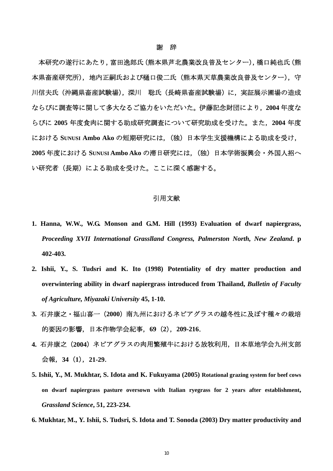#### 謝 辞

本研究の遂行にあたり,富田逸郎氏(熊本県芦北農業改良普及センター),橋口純也氏(熊 本県畜産研究所),地内正嗣氏および樋口俊二氏(熊本県天草農業改良普及センター),守 川信夫氏(沖縄県畜産試験場),深川 聡氏(長崎県畜産試験場)に,実証展示圃場の造成 ならびに調査等に関して多大なるご協力をいただいた。伊藤記念財団により,**2004** 年度な らびに **2005** 年度食肉に関する助成研究調査について研究助成を受けた。また,**2004** 年度 における **SUNUSI Ambo Ako** の短期研究には,(独)日本学生支援機構による助成を受け, **2005** 年度における **SUNUSI Ambo Ako** の滞日研究には,(独)日本学術振興会・外国人招へ い研究者(長期)による助成を受けた。ここに深く感謝する。

#### 引用文献

- **1. Hanna, W.W., W.G. Monson and G.M. Hill (1993) Evaluation of dwarf napiergrass,**  *Proceeding XVII International Grasslland Congress, Palmerston North, New Zealand***. p 402-403.**
- **2. Ishii, Y., S. Tudsri and K. Ito (1998) Potentiality of dry matter production and overwintering ability in dwarf napiergrass introduced from Thailand,** *Bulletin of Faculty of Agriculture, Miyazaki University* **45, 1-10.**
- **3.** 石井康之・福山喜一(**2000**)南九州におけるネピアグラスの越冬性に及ぼす種々の栽培 的要因の影響,日本作物学会紀事,**69**(**2**),**209-216**.
- **4.** 石井康之(**2004**)ネピアグラスの肉用繁殖牛における放牧利用,日本草地学会九州支部 会報,**34**(**1**),**21-29**.
- **5. Ishii, Y., M. Mukhtar, S. Idota and K. Fukuyama (2005) Rotational grazing system for beef cows on dwarf napiergrass pasture oversown with Italian ryegrass for 2 years after establishment,**  *Grassland Science***, 51, 223-234.**
- **6. Mukhtar, M., Y. Ishii, S. Tudsri, S. Idota and T. Sonoda (2003) Dry matter productivity and**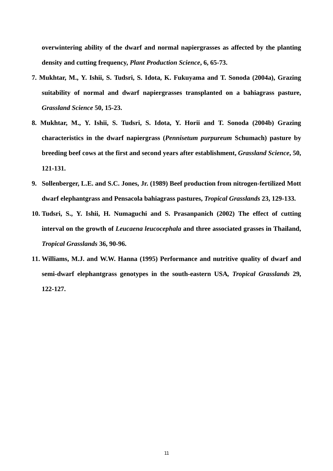**overwintering ability of the dwarf and normal napiergrasses as affected by the planting density and cutting frequency,** *Plant Production Science***, 6, 65-73.** 

- **7. Mukhtar, M., Y. Ishii, S. Tudsri, S. Idota, K. Fukuyama and T. Sonoda (2004a), Grazing suitability of normal and dwarf napiergrasses transplanted on a bahiagrass pasture,**  *Grassland Science* **50, 15-23.**
- **8. Mukhtar, M., Y. Ishii, S. Tudsri, S. Idota, Y. Horii and T. Sonoda (2004b) Grazing characteristics in the dwarf napiergrass (***Pennisetum purpureum* **Schumach) pasture by breeding beef cows at the first and second years after establishment,** *Grassland Science***, 50, 121-131.**
- **9. Sollenberger, L.E. and S.C. Jones, Jr. (1989) Beef production from nitrogen-fertilized Mott dwarf elephantgrass and Pensacola bahiagrass pastures,** *Tropical Grasslands* **23, 129-133.**
- **10. Tudsri, S., Y. Ishii, H. Numaguchi and S. Prasanpanich (2002) The effect of cutting interval on the growth of** *Leucaena leucocephala* **and three associated grasses in Thailand,**  *Tropical Grasslands* **36, 90-96.**
- **11. Williams, M.J. and W.W. Hanna (1995) Performance and nutritive quality of dwarf and semi-dwarf elephantgrass genotypes in the south-eastern USA***, Tropical Grasslands* **29, 122-127.**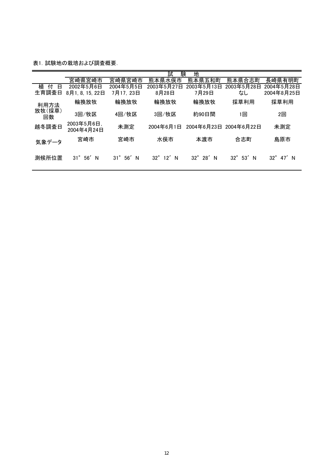表1. 試験地の栽培および調査概要.

|                      | 試<br>験<br>地                  |                         |                         |                        |                          |                          |
|----------------------|------------------------------|-------------------------|-------------------------|------------------------|--------------------------|--------------------------|
|                      | 宮崎県宮崎市                       | 宮崎県宮崎市                  | 熊本県水俣市                  | 熊本県五和町                 | 熊本県合志町                   | 長崎県有明町                   |
| 植<br>付<br>Β<br>生育調査日 | 2002年5月6日<br>8月1, 8, 15, 22日 | 2004年5月5日<br>7月17, 23日  | 2003年5月27日<br>8月28日     | 2003年5月13日<br>7月29日    | 2003年5月28日<br>なし         | 2004年5月28日<br>2004年8月25日 |
| 利用方法                 | 輪換放牧                         | 輪換放牧                    | 輪換放牧                    | 輪換放牧                   | 採草利用                     | 採草利用                     |
| 放牧(採草)<br>回数         | 3回/牧区                        | 4回/牧区                   | 3回/牧区                   | 約90日間                  | 回                        | 2回                       |
| 越冬調査日                | 2003年5月6日,<br>2004年4月24日     | 未測定                     | 2004年6月1日               |                        | 2004年6月23日 2004年6月22日    | 未測定                      |
| 気象データ                | 宮崎市                          | 宮崎市                     | 水俣市                     | 本渡市                    | 合志町                      | 島原市                      |
| 測候所位置                | $31^\circ$<br>56'<br>N       | $31^\circ$<br>56'<br>-N | $32^\circ$<br>12'<br>-N | $32^\circ$<br>28'<br>N | $32^{\circ}$<br>53'<br>N | $32^\circ$<br>47′N       |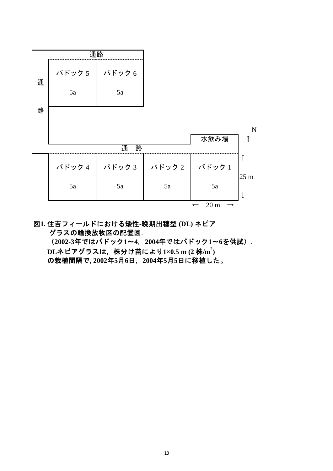|   | , maanaanaanaanaanaanaanaanaanaanaanaa, maraanaanaanaanaanaanaanaanaanaanaanaa | 通路       |                       |                 |                 |
|---|--------------------------------------------------------------------------------|----------|-----------------------|-----------------|-----------------|
| 通 | パドック5                                                                          | ┃ パドック 6 |                       |                 |                 |
|   | 5a                                                                             | 5a       |                       |                 |                 |
| 路 |                                                                                |          |                       |                 |                 |
|   |                                                                                |          |                       |                 | N               |
|   |                                                                                |          |                       | 水飲み場            |                 |
|   |                                                                                | 路<br>通   |                       |                 |                 |
|   |                                                                                |          | パドック4   パドック3   パドック2 | パドック1           |                 |
|   | 5a                                                                             | 5a       | 5a                    | 5a              | 25 <sub>m</sub> |
|   |                                                                                |          |                       | 20 <sub>m</sub> |                 |

図**1.** 住吉フィールドにおける矮性**-**晩期出穂型 **(DL)** ネピア  グラスの輪換放牧区の配置図.

 (**2002-3**年ではパドック**1**~**4**,**2004**年ではパドック**1**~**6**を供試).  **DL**ネピアグラスは,株分け苗により**1×0.5 m (2** 株**/m2 )**  の栽植間隔で**, 2002**年**5**月**6**日,**2004**年**5**月**5**日に移植した。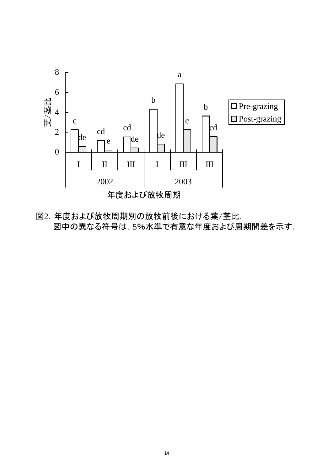

図2.年度および放牧周期別の放牧前後における葉/茎比. 図中の異なる符号は,5%水準で有意な年度および周期間差を示す.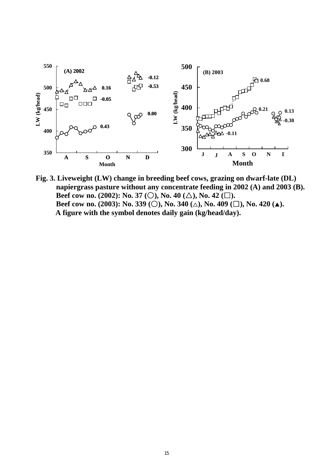

 **Fig. 3. Liveweight (LW) change in breeding beef cows, grazing on dwarf-late (DL) napiergrass pasture without any concentrate feeding in 2002 (A) and 2003 (B). Beef cow no. (2002): No. 37 (**○**), No. 40 (**△**), No. 42 (**□**). Beef cow no. (2003): No. 339 (**○**), No. 340 (**△**), No. 409 (**□**), No. 420 (**▲**). A figure with the symbol denotes daily gain (kg/head/day).**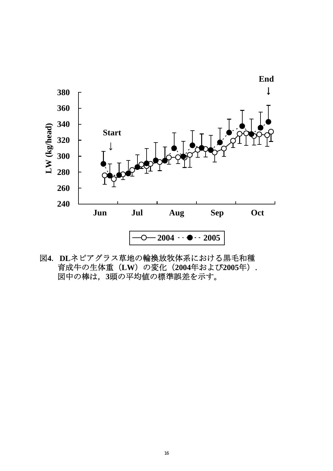

 図**4**. **DL**ネピアグラス草地の輪換放牧体系における黒毛和種 育成牛の生体重(**LW**)の変化(**2004**年および**2005**年). 図中の棒は,**3**頭の平均値の標準誤差を示す。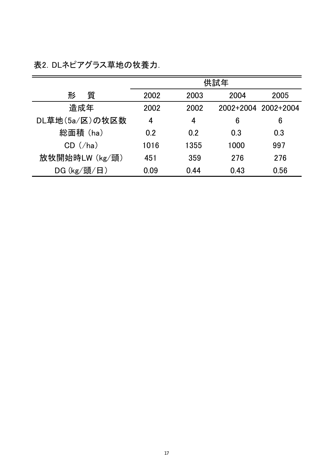表2.DLネピアグラス草地の牧養力.

|                | 供試年  |      |      |                     |
|----------------|------|------|------|---------------------|
| 質<br>形         | 2002 | 2003 | 2004 | 2005                |
| 造成年            | 2002 | 2002 |      | 2002+2004 2002+2004 |
| DL草地(5a/区)の牧区数 | 4    | 4    | 6    | 6                   |
| 総面積 (ha)       | 0.2  | 0.2  | 0.3  | 0.3                 |
| $CD$ (/ha)     | 1016 | 1355 | 1000 | 997                 |
| 放牧開始時LW (kg/頭) | 451  | 359  | 276  | 276                 |
| DG (kg/頭/日)    | 0.09 | 0.44 | 0.43 | 0.56                |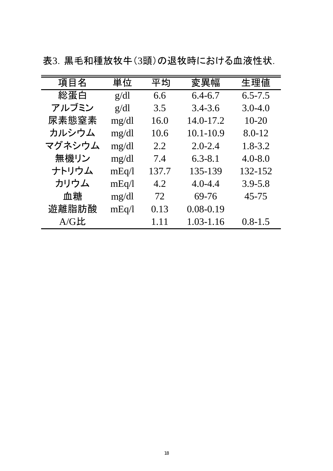| 項目名    | 単位    | 平均    | 変異幅           | 生理値         |
|--------|-------|-------|---------------|-------------|
| 総蛋白    | g/dl  | 6.6   | $6.4 - 6.7$   | $6.5 - 7.5$ |
| アルブミン  | g/dl  | 3.5   | $3.4 - 3.6$   | $3.0 - 4.0$ |
| 尿素態窒素  | mg/dl | 16.0  | 14.0-17.2     | $10 - 20$   |
| カルシウム  | mg/dl | 10.6  | $10.1 - 10.9$ | 8.0-12      |
| マグネシウム | mg/dl | 2.2   | $2.0 - 2.4$   | $1.8 - 3.2$ |
| 無機リン   | mg/dl | 7.4   | $6.3 - 8.1$   | $4.0 - 8.0$ |
| ナトリウム  | mEq/1 | 137.7 | 135-139       | 132-152     |
| カリウム   | mEq/1 | 4.2   | $4.0 - 4.4$   | $3.9 - 5.8$ |
| 血糖     | mg/dl | 72    | 69-76         | 45-75       |
| 遊離脂肪酸  | mEq/I | 0.13  | $0.08 - 0.19$ |             |
| A/GE   |       | 1.11  | $1.03 - 1.16$ | $0.8 - 1.5$ |

表3.黒毛和種放牧牛(3頭)の退牧時における血液性状.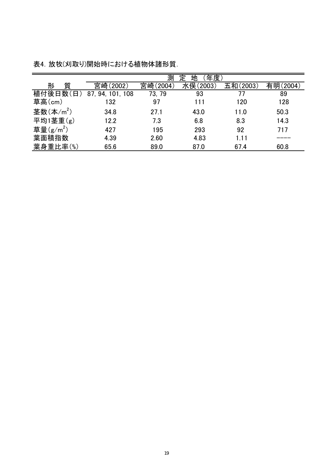|                       | 年度<br>測<br>地<br>ᅲ |          |          |          |          |
|-----------------------|-------------------|----------|----------|----------|----------|
| 質<br>形                | 宮崎(2002)          | 宮崎(2004) | 水俣(2003) | 五和(2003) | 有明(2004) |
| 植付後日数(<br>日           | 87, 94, 101, 108  | 73, 79   | 93       |          | 89       |
| 草高(cm)                | 132               | 97       | 111      | 120      | 128      |
| 茎数 $(\text{A/m}^2)$   | 34.8              | 27.1     | 43.0     | 11.0     | 50.3     |
| 平均1茎重(g)              | 12.2              | 7.3      | 6.8      | 8.3      | 14.3     |
| 草量(g/m <sup>2</sup> ) | 427               | 195      | 293      | 92       | 717      |
| 葉面積指数                 | 4.39              | 2.60     | 4.83     | 1.11     |          |
| 葉身重比率(%)              | 65.6              | 89.0     | 87.0     | 67.4     | 60.8     |

表4.放牧(刈取り)開始時における植物体諸形質.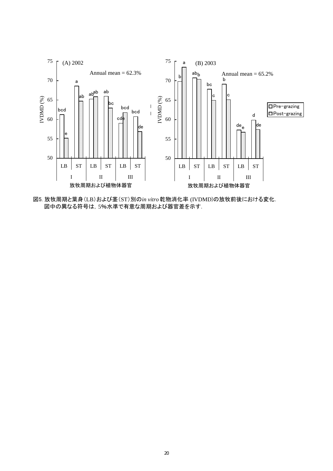

図5. 放牧周期と葉身(LB)および茎(ST)別の*in vitro* 乾物消化率 (IVDMD)の放牧前後における変化. 図中の異なる符号は,5%水準で有意な周期および器官差を示す.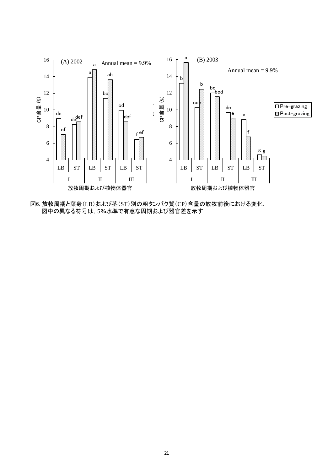

図6. 放牧周期と葉身(LB)および茎(ST)別の粗タンパク質(CP)含量の放牧前後における変化. 図中の異なる符号は,5%水準で有意な周期および器官差を示す.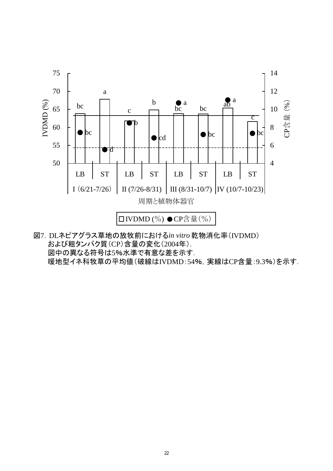

図7.DLネピアグラス草地の放牧前における*in vitro* 乾物消化率(IVDMD) および粗タンパク質(CP)含量の変化(2004年). 図中の異なる符号は5%水準で有意な差を示す. 暖地型イネ科牧草の平均値(破線はIVDMD:54%,実線はCP含量:9.3%)を示す.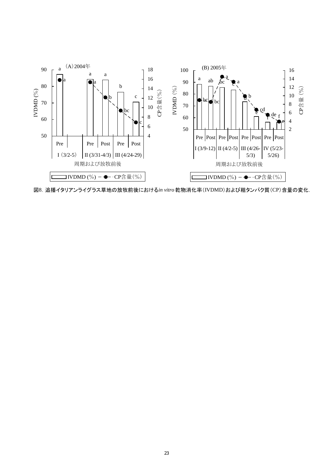

図8.追播イタリアンライグラス草地の放牧前後における*in vitro* 乾物消化率(IVDMD)および粗タンパク質(CP)含量の変化.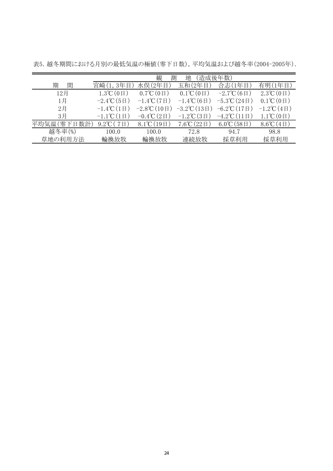|             | 観<br>測<br>(造成後年数)<br>地                   |                                          |                                         |                                      |                                         |
|-------------|------------------------------------------|------------------------------------------|-----------------------------------------|--------------------------------------|-----------------------------------------|
| 間<br>期      | 宮崎(1,3年目                                 | 水俣(2年目)                                  | 五和(2年目)                                 | 合志(1年目                               | 有明(1年目)                                 |
| 12月         | $1.3^{\circ}\mathrm{C}$ (0 $\boxminus$ ) | $0.7^{\circ}\mathrm{C}$ (0 $\boxminus$ ) | $0.1^{\circ}\mathrm{C}$ $(0 \boxplus )$ | $-2.7^{\circ}C(6 \Box)$              | $2.3^{\circ}\mathrm{C}$ (0 $\boxplus$ ) |
| 1月          | $-2.4^{\circ}\text{C}(5 \text{ H})$      | $-1.4$ °C $(7 \boxplus )$                | $-1.4\degree C(6\Box)$                  | $-5.3^{\circ}\text{C}(24 \text{ H})$ | $0.1^{\circ}\mathrm{C}$ $(0 \boxplus )$ |
| 2月          | $-1.4$ °C $(1 \boxplus )$                | $-2.8^{\circ}\text{C}$ (10日)             | $-3.2$ °C $(13\boxplus)$                | $-6.2$ °C $(17 \boxplus )$           | $-1.2^{\circ}\text{C}(4 \boxplus)$      |
| 3月          | $-1.1^{\circ}C(1 \Box$                   | $-0.4$ °C $(2 \boxplus)$                 | $-1.2^{\circ}\text{C}(3 \text{ H})$     | $-4.2$ °C $(11 \boxplus )$           | $1.1^{\circ}\mathrm{C}$ $(0 \boxplus )$ |
| 平均気温(零下日数計) | 9.2°C (7 $\boxplus$ )                    | 8.1°C $(19H)$                            | $7.6^{\circ}C(22 \boxplus)$             | $6.0^{\circ}C(58 \text{ H})$         | $8.6^{\circ}C(4 \boxplus)$              |
| 越冬率(%)      | 100.0                                    | 100.0                                    | 72.8                                    | 94.7                                 | 98.8                                    |
| 草地の利用方法     | 輪換放牧                                     | 輪換放牧                                     | 連続放牧                                    | 採草利用                                 | 採草利用                                    |

表5.越冬期間における月別の最低気温の極値(零下日数),平均気温および越冬率(2004-2005年).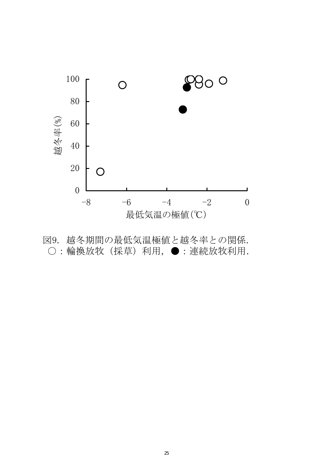

図9. 越冬期間の最低気温極値と越冬率との関係. ○:輪換放牧(採草)利用,●:連続放牧利用.